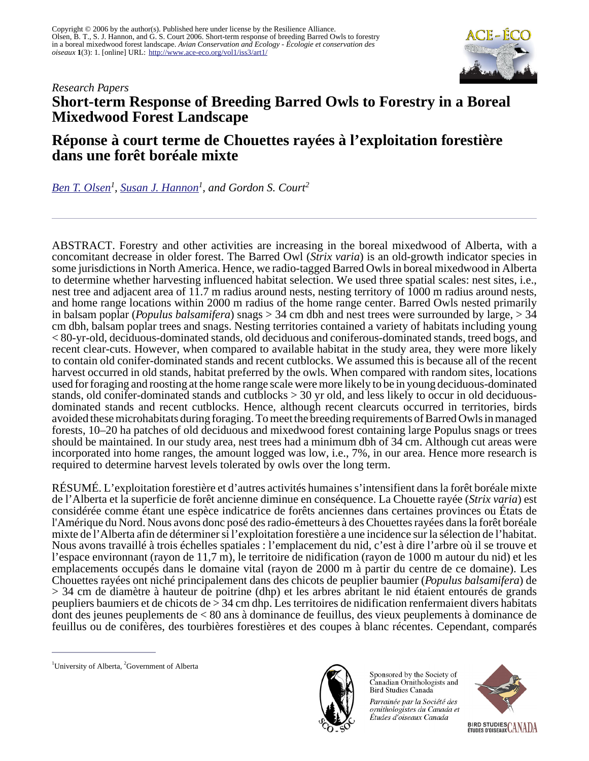

# *Research Papers* **Short-term Response of Breeding Barred Owls to Forestry in a Boreal Mixedwood Forest Landscape**

# **Réponse à court terme de Chouettes rayées à l'exploitation forestière dans une forêt boréale mixte**

*[Ben T. Olsen](mailto:ben.olsen@ualberta.ca)<sup>1</sup> , [Susan J. Hannon](mailto:sue.hannon@ualberta.ca)<sup>1</sup> , and Gordon S. Court<sup>2</sup>*

ABSTRACT. Forestry and other activities are increasing in the boreal mixedwood of Alberta, with a concomitant decrease in older forest. The Barred Owl (*Strix varia*) is an old-growth indicator species in some jurisdictions in North America. Hence, we radio-tagged Barred Owls in boreal mixedwood in Alberta to determine whether harvesting influenced habitat selection. We used three spatial scales: nest sites, i.e., nest tree and adjacent area of 11.7 m radius around nests, nesting territory of 1000 m radius around nests, and home range locations within 2000 m radius of the home range center. Barred Owls nested primarily in balsam poplar (*Populus balsamifera*) snags > 34 cm dbh and nest trees were surrounded by large, > 34 cm dbh, balsam poplar trees and snags. Nesting territories contained a variety of habitats including young < 80-yr-old, deciduous-dominated stands, old deciduous and coniferous-dominated stands, treed bogs, and recent clear-cuts. However, when compared to available habitat in the study area, they were more likely to contain old conifer-dominated stands and recent cutblocks. We assumed this is because all of the recent harvest occurred in old stands, habitat preferred by the owls. When compared with random sites, locations used for foraging and roosting at the home range scale were more likely to be in young deciduous-dominated stands, old conifer-dominated stands and cutblocks > 30 yr old, and less likely to occur in old deciduousdominated stands and recent cutblocks. Hence, although recent clearcuts occurred in territories, birds avoided these microhabitats during foraging. To meet the breeding requirements of Barred Owls in managed forests, 10–20 ha patches of old deciduous and mixedwood forest containing large Populus snags or trees should be maintained. In our study area, nest trees had a minimum dbh of 34 cm. Although cut areas were incorporated into home ranges, the amount logged was low, i.e., 7%, in our area. Hence more research is required to determine harvest levels tolerated by owls over the long term.

RÉSUMÉ. L'exploitation forestière et d'autres activités humaines s'intensifient dans la forêt boréale mixte de l'Alberta et la superficie de forêt ancienne diminue en conséquence. La Chouette rayée (*Strix varia*) est considérée comme étant une espèce indicatrice de forêts anciennes dans certaines provinces ou États de l'Amérique du Nord. Nous avons donc posé des radio-émetteurs à des Chouettes rayées dans la forêt boréale mixte de l'Alberta afin de déterminer si l'exploitation forestière a une incidence sur la sélection de l'habitat. Nous avons travaillé à trois échelles spatiales : l'emplacement du nid, c'est à dire l'arbre où il se trouve et l'espace environnant (rayon de 11,7 m), le territoire de nidification (rayon de 1000 m autour du nid) et les emplacements occupés dans le domaine vital (rayon de 2000 m à partir du centre de ce domaine). Les Chouettes rayées ont niché principalement dans des chicots de peuplier baumier (*Populus balsamifera*) de > 34 cm de diamètre à hauteur de poitrine (dhp) et les arbres abritant le nid étaient entourés de grands peupliers baumiers et de chicots de > 34 cm dhp. Les territoires de nidification renfermaient divers habitats dont des jeunes peuplements de < 80 ans à dominance de feuillus, des vieux peuplements à dominance de feuillus ou de conifères, des tourbières forestières et des coupes à blanc récentes. Cependant, comparés



Sponsored by the Society of Canadian Ornithologists and Bird Studies Canada

Parrainée par la Société des ornithologistes du Canada et Études d'oiseaux Canada



<sup>&</sup>lt;sup>1</sup>University of Alberta,  ${}^{2}$ Government of Alberta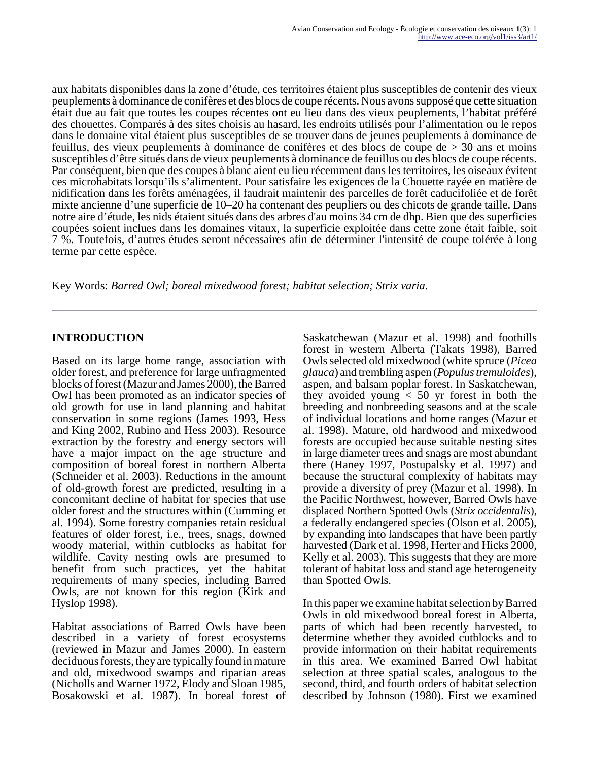aux habitats disponibles dans la zone d'étude, ces territoires étaient plus susceptibles de contenir des vieux peuplements à dominance de conifères et des blocs de coupe récents. Nous avons supposé que cette situation était due au fait que toutes les coupes récentes ont eu lieu dans des vieux peuplements, l'habitat préféré des chouettes. Comparés à des sites choisis au hasard, les endroits utilisés pour l'alimentation ou le repos dans le domaine vital étaient plus susceptibles de se trouver dans de jeunes peuplements à dominance de feuillus, des vieux peuplements à dominance de conifères et des blocs de coupe de > 30 ans et moins susceptibles d'être situés dans de vieux peuplements à dominance de feuillus ou des blocs de coupe récents. Par conséquent, bien que des coupes à blanc aient eu lieu récemment dans les territoires, les oiseaux évitent ces microhabitats lorsqu'ils s'alimentent. Pour satisfaire les exigences de la Chouette rayée en matière de nidification dans les forêts aménagées, il faudrait maintenir des parcelles de forêt caducifoliée et de forêt mixte ancienne d'une superficie de 10–20 ha contenant des peupliers ou des chicots de grande taille. Dans notre aire d'étude, les nids étaient situés dans des arbres d'au moins 34 cm de dhp. Bien que des superficies coupées soient inclues dans les domaines vitaux, la superficie exploitée dans cette zone était faible, soit 7 %. Toutefois, d'autres études seront nécessaires afin de déterminer l'intensité de coupe tolérée à long terme par cette espèce.

Key Words: *Barred Owl; boreal mixedwood forest; habitat selection; Strix varia.*

## **INTRODUCTION**

Based on its large home range, association with older forest, and preference for large unfragmented blocks of forest (Mazur and James 2000), the Barred Owl has been promoted as an indicator species of old growth for use in land planning and habitat conservation in some regions (James 1993, Hess and King 2002, Rubino and Hess 2003). Resource extraction by the forestry and energy sectors will have a major impact on the age structure and composition of boreal forest in northern Alberta (Schneider et al. 2003). Reductions in the amount of old-growth forest are predicted, resulting in a concomitant decline of habitat for species that use older forest and the structures within (Cumming et al. 1994). Some forestry companies retain residual features of older forest, i.e., trees, snags, downed woody material, within cutblocks as habitat for wildlife. Cavity nesting owls are presumed to benefit from such practices, yet the habitat requirements of many species, including Barred Owls, are not known for this region (Kirk and Hyslop 1998).

Habitat associations of Barred Owls have been described in a variety of forest ecosystems (reviewed in Mazur and James 2000). In eastern deciduous forests, they are typically found in mature and old, mixedwood swamps and riparian areas (Nicholls and Warner 1972, Elody and Sloan 1985, Bosakowski et al. 1987). In boreal forest of Saskatchewan (Mazur et al. 1998) and foothills forest in western Alberta (Takats 1998), Barred Owls selected old mixedwood (white spruce (*Picea glauca*) and trembling aspen (*Populus tremuloides*), aspen, and balsam poplar forest. In Saskatchewan, they avoided young  $< 50$  yr forest in both the breeding and nonbreeding seasons and at the scale of individual locations and home ranges (Mazur et al. 1998). Mature, old hardwood and mixedwood forests are occupied because suitable nesting sites in large diameter trees and snags are most abundant there (Haney 1997, Postupalsky et al. 1997) and because the structural complexity of habitats may provide a diversity of prey (Mazur et al. 1998). In the Pacific Northwest, however, Barred Owls have displaced Northern Spotted Owls (*Strix occidentalis*), a federally endangered species (Olson et al. 2005), by expanding into landscapes that have been partly harvested (Dark et al. 1998, Herter and Hicks 2000, Kelly et al. 2003). This suggests that they are more tolerant of habitat loss and stand age heterogeneity than Spotted Owls.

In this paper we examine habitat selection by Barred Owls in old mixedwood boreal forest in Alberta, parts of which had been recently harvested, to determine whether they avoided cutblocks and to provide information on their habitat requirements in this area. We examined Barred Owl habitat selection at three spatial scales, analogous to the second, third, and fourth orders of habitat selection described by Johnson (1980). First we examined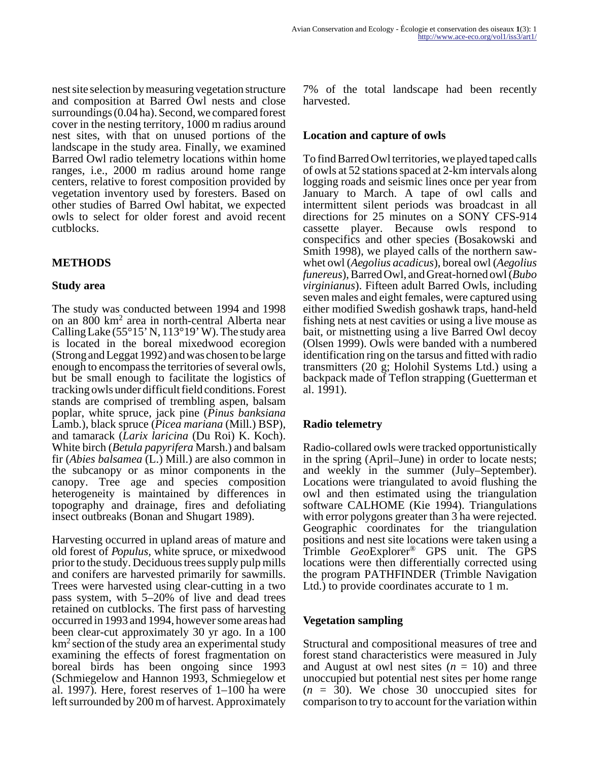nest site selection by measuring vegetation structure and composition at Barred Owl nests and close surroundings (0.04 ha). Second, we compared forest cover in the nesting territory, 1000 m radius around nest sites, with that on unused portions of the landscape in the study area. Finally, we examined Barred Owl radio telemetry locations within home ranges, i.e., 2000 m radius around home range centers, relative to forest composition provided by vegetation inventory used by foresters. Based on other studies of Barred Owl habitat, we expected owls to select for older forest and avoid recent cutblocks.

## **METHODS**

#### **Study area**

The study was conducted between 1994 and 1998 on an 800 km<sup>2</sup> area in north-central Alberta near Calling Lake (55 $\degree$ 15' N, 113 $\degree$ 19' W). The study area is located in the boreal mixedwood ecoregion (Strong and Leggat 1992) and was chosen to be large enough to encompass the territories of several owls, but be small enough to facilitate the logistics of tracking owls under difficult field conditions. Forest stands are comprised of trembling aspen, balsam poplar, white spruce, jack pine (*Pinus banksiana* Lamb.), black spruce (*Picea mariana* (Mill.) BSP), and tamarack (*Larix laricina* (Du Roi) K. Koch). White birch (*Betula papyrifera* Marsh.) and balsam fir (*Abies balsamea* (L.) Mill.) are also common in the subcanopy or as minor components in the canopy. Tree age and species composition heterogeneity is maintained by differences in topography and drainage, fires and defoliating insect outbreaks (Bonan and Shugart 1989).

Harvesting occurred in upland areas of mature and old forest of *Populus,* white spruce, or mixedwood prior to the study. Deciduous trees supply pulp mills and conifers are harvested primarily for sawmills. Trees were harvested using clear-cutting in a two pass system, with 5–20% of live and dead trees retained on cutblocks. The first pass of harvesting occurred in 1993 and 1994, however some areas had been clear-cut approximately 30 yr ago. In a 100  $km<sup>2</sup>$  section of the study area an experimental study examining the effects of forest fragmentation on boreal birds has been ongoing since 1993 (Schmiegelow and Hannon 1993, Schmiegelow et al. 1997). Here, forest reserves of 1–100 ha were left surrounded by 200 m of harvest. Approximately 7% of the total landscape had been recently harvested.

#### **Location and capture of owls**

To find Barred Owl territories, we played taped calls of owls at 52 stations spaced at 2-km intervals along logging roads and seismic lines once per year from January to March. A tape of owl calls and intermittent silent periods was broadcast in all directions for 25 minutes on a SONY CFS-914 cassette player. Because owls respond to conspecifics and other species (Bosakowski and Smith 1998), we played calls of the northern sawwhet owl (*Aegolius acadicus*), boreal owl (*Aegolius funereus*), Barred Owl, and Great-horned owl (*Bubo virginianus*). Fifteen adult Barred Owls, including seven males and eight females, were captured using either modified Swedish goshawk traps, hand-held fishing nets at nest cavities or using a live mouse as bait, or mistnetting using a live Barred Owl decoy (Olsen 1999). Owls were banded with a numbered identification ring on the tarsus and fitted with radio transmitters (20 g; Holohil Systems Ltd.) using a backpack made of Teflon strapping (Guetterman et al. 1991).

#### **Radio telemetry**

Radio-collared owls were tracked opportunistically in the spring (April–June) in order to locate nests; and weekly in the summer (July–September). Locations were triangulated to avoid flushing the owl and then estimated using the triangulation software CALHOME (Kie 1994). Triangulations with error polygons greater than 3 ha were rejected. Geographic coordinates for the triangulation positions and nest site locations were taken using a Trimble *Geo*Explorer® GPS unit. The GPS locations were then differentially corrected using the program PATHFINDER (Trimble Navigation Ltd.) to provide coordinates accurate to 1 m.

#### **Vegetation sampling**

Structural and compositional measures of tree and forest stand characteristics were measured in July and August at owl nest sites  $(n = 10)$  and three unoccupied but potential nest sites per home range (*n* = 30). We chose 30 unoccupied sites for comparison to try to account for the variation within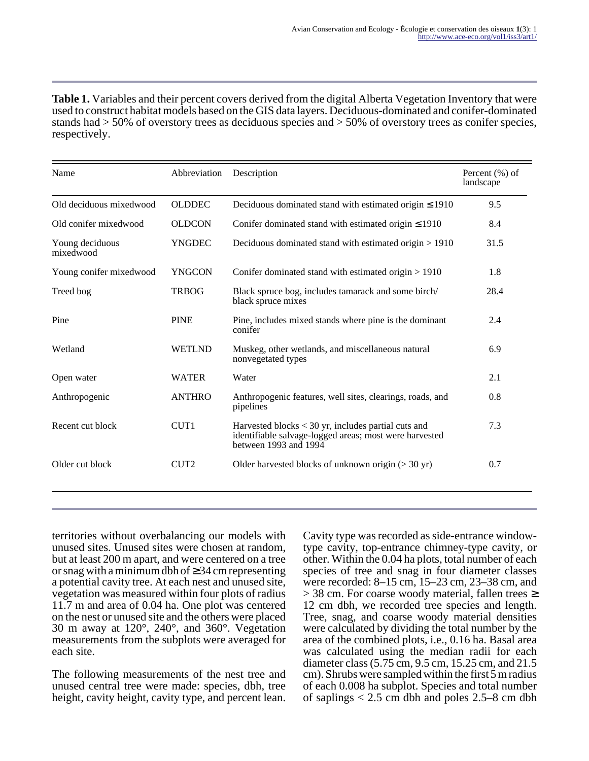**Table 1.** Variables and their percent covers derived from the digital Alberta Vegetation Inventory that were used to construct habitat models based on the GIS data layers. Deciduous-dominated and conifer-dominated stands had > 50% of overstory trees as deciduous species and > 50% of overstory trees as conifer species, respectively.

| Name                         | Abbreviation     | Description                                                                                                                              | Percent $(\% )$ of<br>landscape |
|------------------------------|------------------|------------------------------------------------------------------------------------------------------------------------------------------|---------------------------------|
| Old deciduous mixedwood      | <b>OLDDEC</b>    | Deciduous dominated stand with estimated origin $\leq 1910$                                                                              | 9.5                             |
| Old conifer mixedwood        | <b>OLDCON</b>    | Conifer dominated stand with estimated origin $\leq 1910$                                                                                | 8.4                             |
| Young deciduous<br>mixedwood | <b>YNGDEC</b>    | Deciduous dominated stand with estimated origin $> 1910$                                                                                 | 31.5                            |
| Young conifer mixedwood      | <b>YNGCON</b>    | Conifer dominated stand with estimated origin $> 1910$                                                                                   | 1.8                             |
| Treed bog                    | <b>TRBOG</b>     | Black spruce bog, includes tamarack and some birch/<br>black spruce mixes                                                                | 28.4                            |
| Pine                         | <b>PINE</b>      | Pine, includes mixed stands where pine is the dominant<br>conifer                                                                        | 2.4                             |
| Wetland                      | <b>WETLND</b>    | Muskeg, other wetlands, and miscellaneous natural<br>nonvegetated types                                                                  | 6.9                             |
| Open water                   | <b>WATER</b>     | Water                                                                                                                                    | 2.1                             |
| Anthropogenic                | <b>ANTHRO</b>    | Anthropogenic features, well sites, clearings, roads, and<br>pipelines                                                                   | 0.8                             |
| Recent cut block             | CUT1             | Harvested blocks $<$ 30 yr, includes partial cuts and<br>identifiable salvage-logged areas; most were harvested<br>between 1993 and 1994 | 7.3                             |
| Older cut block              | CUT <sub>2</sub> | Older harvested blocks of unknown origin $(>30 \text{ yr})$                                                                              | 0.7                             |
|                              |                  |                                                                                                                                          |                                 |

territories without overbalancing our models with unused sites. Unused sites were chosen at random, but at least 200 m apart, and were centered on a tree or snag with a minimum dbh of  $\geq$  34 cm representing a potential cavity tree. At each nest and unused site, vegetation was measured within four plots of radius 11.7 m and area of 0.04 ha. One plot was centered on the nest or unused site and the others were placed 30 m away at 120°, 240°, and 360°. Vegetation measurements from the subplots were averaged for each site.

The following measurements of the nest tree and unused central tree were made: species, dbh, tree height, cavity height, cavity type, and percent lean. Cavity type was recorded as side-entrance windowtype cavity, top-entrance chimney-type cavity, or other. Within the 0.04 ha plots, total number of each species of tree and snag in four diameter classes were recorded: 8–15 cm, 15–23 cm, 23–38 cm, and  $>$  38 cm. For coarse woody material, fallen trees  $\geq$ 12 cm dbh, we recorded tree species and length. Tree, snag, and coarse woody material densities were calculated by dividing the total number by the area of the combined plots, i.e., 0.16 ha. Basal area was calculated using the median radii for each diameter class (5.75 cm, 9.5 cm, 15.25 cm, and 21.5 cm). Shrubs were sampled within the first 5 m radius of each 0.008 ha subplot. Species and total number of saplings  $< 2.5$  cm dbh and poles 2.5–8 cm dbh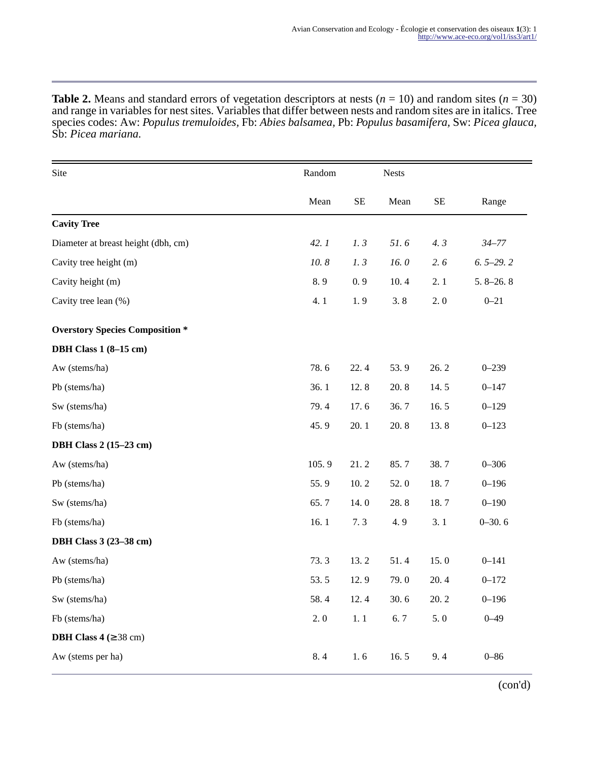**Table 2.** Means and standard errors of vegetation descriptors at nests ( $n = 10$ ) and random sites ( $n = 30$ ) and range in variables for nest sites. Variables that differ between nests and random sites are in italics. Tree species codes: Aw: *Populus tremuloides,* Fb: *Abies balsamea,* Pb: *Populus basamifera,* Sw: *Picea glauca,* Sb: *Picea mariana.* 

| Site                                   | Random |          | <b>Nests</b> |          |              |
|----------------------------------------|--------|----------|--------------|----------|--------------|
|                                        | Mean   | $\rm SE$ | Mean         | $\rm SE$ | Range        |
| <b>Cavity Tree</b>                     |        |          |              |          |              |
| Diameter at breast height (dbh, cm)    | 42.1   | 1.3      | 51.6         | 4.3      | $34 - 77$    |
| Cavity tree height (m)                 | 10.8   | 1.3      | 16.0         | 2.6      | $6.5 - 29.2$ |
| Cavity height (m)                      | 8.9    | 0.9      | 10.4         | 2.1      | $5.8 - 26.8$ |
| Cavity tree lean (%)                   | 4.1    | 1.9      | 3.8          | 2.0      | $0 - 21$     |
| <b>Overstory Species Composition *</b> |        |          |              |          |              |
| <b>DBH Class 1 (8-15 cm)</b>           |        |          |              |          |              |
| Aw (stems/ha)                          | 78.6   | 22.4     | 53.9         | 26.2     | $0 - 239$    |
| Pb (stems/ha)                          | 36.1   | 12.8     | 20.8         | 14.5     | $0 - 147$    |
| Sw (stems/ha)                          | 79.4   | 17.6     | 36.7         | 16.5     | $0 - 129$    |
| Fb (stems/ha)                          | 45.9   | 20.1     | 20.8         | 13.8     | $0 - 123$    |
| <b>DBH Class 2 (15-23 cm)</b>          |        |          |              |          |              |
| Aw (stems/ha)                          | 105.9  | 21.2     | 85.7         | 38.7     | $0 - 306$    |
| Pb (stems/ha)                          | 55.9   | 10.2     | 52.0         | 18.7     | $0 - 196$    |
| Sw (stems/ha)                          | 65.7   | 14.0     | 28.8         | 18.7     | $0 - 190$    |
| Fb (stems/ha)                          | 16.1   | 7.3      | 4.9          | 3.1      | $0 - 30.6$   |
| <b>DBH Class 3 (23-38 cm)</b>          |        |          |              |          |              |
| Aw (stems/ha)                          | 73.3   | 13.2     | 51.4         | 15.0     | $0 - 141$    |
| Pb (stems/ha)                          | 53.5   | 12.9     | 79.0         | 20.4     | $0 - 172$    |
| Sw (stems/ha)                          | 58.4   | 12.4     | 30.6         | 20.2     | $0 - 196$    |
| Fb (stems/ha)                          | 2.0    | 1.1      | 6.7          | 5.0      | $0 - 49$     |
| <b>DBH Class 4</b> ( $\geq$ 38 cm)     |        |          |              |          |              |
| Aw (stems per ha)                      | 8.4    | 1.6      | 16.5         | 9.4      | $0 - 86$     |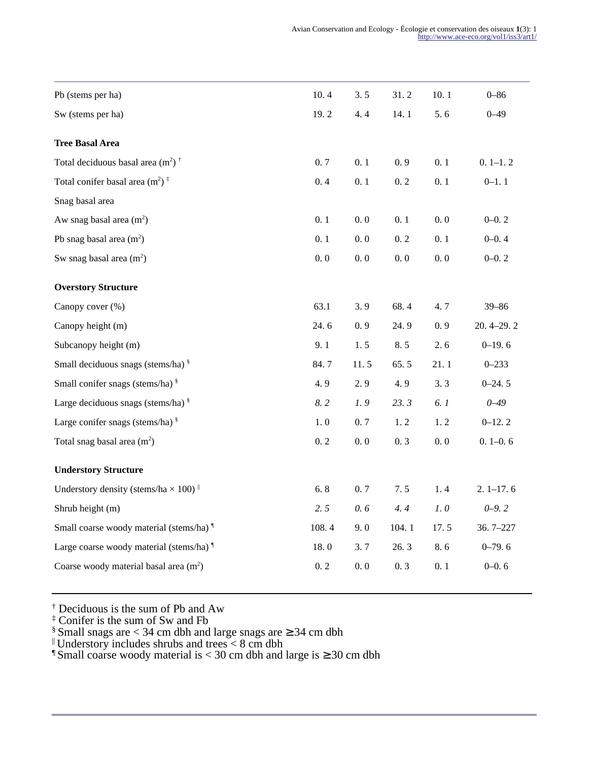| Pb (stems per ha)                                                            | 10.4  | 3.5  | 31.2  | 10.1 | $0 - 86$      |
|------------------------------------------------------------------------------|-------|------|-------|------|---------------|
| Sw (stems per ha)                                                            | 19.2  | 4.4  | 14.1  | 5.6  | $0 - 49$      |
| <b>Tree Basal Area</b>                                                       |       |      |       |      |               |
| Total deciduous basal area $(m^2)$ <sup>†</sup>                              | 0.7   | 0.1  | 0.9   | 0.1  | $0.1-1.2$     |
| Total conifer basal area $(m^2)$ <sup><math>\ddagger</math></sup>            | 0.4   | 0.1  | 0.2   | 0.1  | $0 - 1.1$     |
| Snag basal area                                                              |       |      |       |      |               |
| Aw snag basal area $(m2)$                                                    | 0.1   | 0.0  | 0.1   | 0.0  | $0 - 0.2$     |
| Pb snag basal area $(m2)$                                                    | 0.1   | 0.0  | 0.2   | 0.1  | $0 - 0.4$     |
| Sw snag basal area $(m^2)$                                                   | 0.0   | 0.0  | 0.0   | 0.0  | $0 - 0.2$     |
| <b>Overstory Structure</b>                                                   |       |      |       |      |               |
| Canopy cover (%)                                                             | 63.1  | 3.9  | 68.4  | 4.7  | $39 - 86$     |
| Canopy height (m)                                                            | 24.6  | 0.9  | 24.9  | 0.9  | $20.4 - 29.2$ |
| Subcanopy height (m)                                                         | 9.1   | 1.5  | 8.5   | 2.6  | $0-19.6$      |
| Small deciduous snags (stems/ha) <sup>§</sup>                                | 84.7  | 11.5 | 65.5  | 21.1 | $0 - 233$     |
| Small conifer snags (stems/ha) §                                             | 4.9   | 2.9  | 4.9   | 3.3  | $0 - 24.5$    |
| Large deciduous snags (stems/ha) $\frac{8}{3}$                               | 8.2   | 1.9  | 23.3  | 6.1  | $0 - 49$      |
| Large conifer snags (stems/ha) $\frac{8}{3}$                                 | 1.0   | 0.7  | 1.2   | 1.2  | $0-12.2$      |
| Total snag basal area $(m2)$                                                 | 0.2   | 0.0  | 0.3   | 0.0  | $0.1 - 0.6$   |
| <b>Understory Structure</b>                                                  |       |      |       |      |               |
| Understory density (stems/ha $\times$ 100) <sup><math>\parallel</math></sup> | 6.8   | 0.7  | 7.5   | 1.4  | $2.1 - 17.6$  |
| Shrub height (m)                                                             | 2.5   | 0.6  | 4.4   | 1.0  | $0 - 9.2$     |
| Small coarse woody material (stems/ha) <sup>1</sup>                          | 108.4 | 9.0  | 104.1 | 17.5 | $36.7 - 227$  |
| Large coarse woody material (stems/ha) <sup>1</sup>                          | 18.0  | 3.7  | 26.3  | 8.6  | $0 - 79.6$    |
| Coarse woody material basal area $(m2)$                                      | 0.2   | 0.0  | 0.3   | 0.1  | $0 - 0.6$     |
|                                                                              |       |      |       |      |               |

† Deciduous is the sum of Pb and Aw ‡ Conifer is the sum of Sw and Fb

§ Small snags are < 34 cm dbh and large snags are ≥ 34 cm dbh

|| Understory includes shrubs and trees < 8 cm dbh

¶ Small coarse woody material is < 30 cm dbh and large is ≥ 30 cm dbh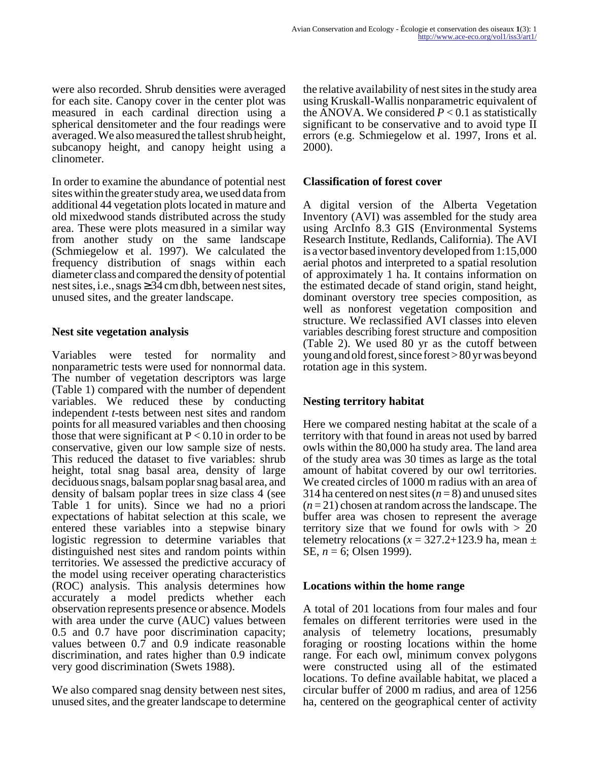were also recorded. Shrub densities were averaged for each site. Canopy cover in the center plot was measured in each cardinal direction using a spherical densitometer and the four readings were averaged. We also measured the tallest shrub height, subcanopy height, and canopy height using a clinometer.

In order to examine the abundance of potential nest sites within the greater study area, we used data from additional 44 vegetation plots located in mature and old mixedwood stands distributed across the study area. These were plots measured in a similar way from another study on the same landscape (Schmiegelow et al. 1997). We calculated the frequency distribution of snags within each diameter class and compared the density of potential nest sites, i.e., snags  $\geq$  34 cm dbh, between nest sites, unused sites, and the greater landscape.

#### **Nest site vegetation analysis**

Variables were tested for normality and nonparametric tests were used for nonnormal data. The number of vegetation descriptors was large (Table 1) compared with the number of dependent variables. We reduced these by conducting independent *t*-tests between nest sites and random points for all measured variables and then choosing those that were significant at  $P < 0.10$  in order to be conservative, given our low sample size of nests. This reduced the dataset to five variables: shrub height, total snag basal area, density of large deciduous snags, balsam poplar snag basal area, and density of balsam poplar trees in size class 4 (see Table 1 for units). Since we had no a priori expectations of habitat selection at this scale, we entered these variables into a stepwise binary logistic regression to determine variables that distinguished nest sites and random points within territories. We assessed the predictive accuracy of the model using receiver operating characteristics (ROC) analysis. This analysis determines how accurately a model predicts whether each observation represents presence or absence. Models with area under the curve (AUC) values between 0.5 and 0.7 have poor discrimination capacity; values between 0.7 and 0.9 indicate reasonable discrimination, and rates higher than 0.9 indicate very good discrimination (Swets 1988).

We also compared snag density between nest sites, unused sites, and the greater landscape to determine the relative availability of nest sites in the study area using Kruskall-Wallis nonparametric equivalent of the ANOVA. We considered  $P < 0.1$  as statistically significant to be conservative and to avoid type II errors (e.g. Schmiegelow et al. 1997, Irons et al. 2000).

## **Classification of forest cover**

A digital version of the Alberta Vegetation Inventory (AVI) was assembled for the study area using ArcInfo 8.3 GIS (Environmental Systems Research Institute, Redlands, California). The AVI is a vector based inventory developed from 1:15,000 aerial photos and interpreted to a spatial resolution of approximately 1 ha. It contains information on the estimated decade of stand origin, stand height, dominant overstory tree species composition, as well as nonforest vegetation composition and structure. We reclassified AVI classes into eleven variables describing forest structure and composition (Table 2). We used 80 yr as the cutoff between young and old forest, since forest > 80 yr was beyond rotation age in this system.

## **Nesting territory habitat**

Here we compared nesting habitat at the scale of a territory with that found in areas not used by barred owls within the 80,000 ha study area. The land area of the study area was 30 times as large as the total amount of habitat covered by our owl territories. We created circles of 1000 m radius with an area of 314 ha centered on nest sites  $(n=8)$  and unused sites (*n* = 21) chosen at random across the landscape. The buffer area was chosen to represent the average territory size that we found for owls with  $> 20$ telemetry relocations  $(x = 327.2 + 123.9 \text{ ha}, \text{mean } \pm \frac{1}{2}$ SE, *n* = 6; Olsen 1999).

#### **Locations within the home range**

A total of 201 locations from four males and four females on different territories were used in the analysis of telemetry locations, presumably foraging or roosting locations within the home range. For each owl, minimum convex polygons were constructed using all of the estimated locations. To define available habitat, we placed a circular buffer of 2000 m radius, and area of 1256 ha, centered on the geographical center of activity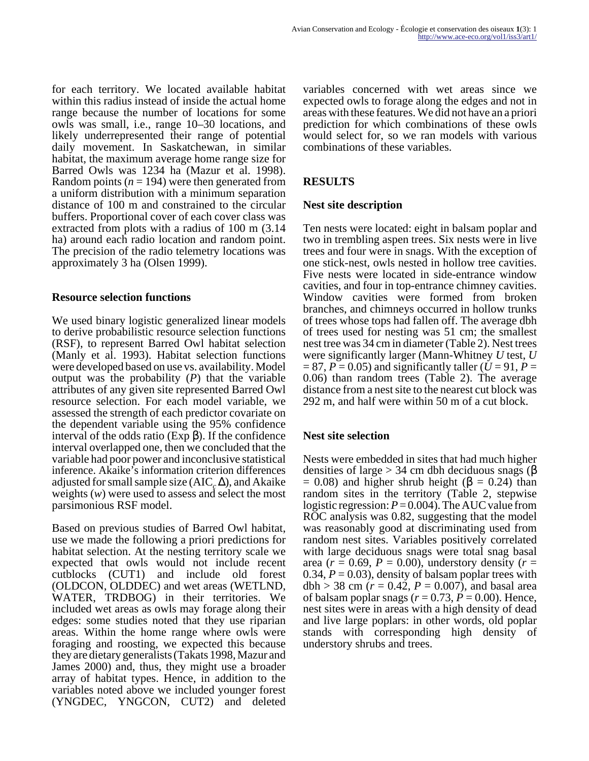for each territory. We located available habitat within this radius instead of inside the actual home range because the number of locations for some owls was small, i.e., range 10–30 locations, and likely underrepresented their range of potential daily movement. In Saskatchewan, in similar habitat, the maximum average home range size for Barred Owls was 1234 ha (Mazur et al. 1998). Random points  $(n = 194)$  were then generated from a uniform distribution with a minimum separation distance of 100 m and constrained to the circular buffers. Proportional cover of each cover class was extracted from plots with a radius of 100 m (3.14 ha) around each radio location and random point. The precision of the radio telemetry locations was approximately 3 ha (Olsen 1999).

#### **Resource selection functions**

We used binary logistic generalized linear models to derive probabilistic resource selection functions (RSF), to represent Barred Owl habitat selection (Manly et al. 1993). Habitat selection functions were developed based on use vs. availability. Model output was the probability (*P*) that the variable attributes of any given site represented Barred Owl resource selection. For each model variable, we assessed the strength of each predictor covariate on the dependent variable using the 95% confidence interval of the odds ratio (Exp β). If the confidence interval overlapped one, then we concluded that the variable had poor power and inconclusive statistical inference. Akaike's information criterion differences adjusted for small sample size  $(AIC<sub>c</sub>\Delta)$ , and Akaike weights (*w*) were used to assess and select the most parsimonious RSF model.

Based on previous studies of Barred Owl habitat, use we made the following a priori predictions for habitat selection. At the nesting territory scale we expected that owls would not include recent cutblocks (CUT1) and include old forest (OLDCON, OLDDEC) and wet areas (WETLND, WATER, TRDBOG) in their territories. We included wet areas as owls may forage along their edges: some studies noted that they use riparian areas. Within the home range where owls were foraging and roosting, we expected this because they are dietary generalists (Takats 1998, Mazur and James 2000) and, thus, they might use a broader array of habitat types. Hence, in addition to the variables noted above we included younger forest (YNGDEC, YNGCON, CUT2) and deleted

variables concerned with wet areas since we expected owls to forage along the edges and not in areas with these features. We did not have an a priori prediction for which combinations of these owls would select for, so we ran models with various combinations of these variables.

## **RESULTS**

#### **Nest site description**

Ten nests were located: eight in balsam poplar and two in trembling aspen trees. Six nests were in live trees and four were in snags. With the exception of one stick-nest, owls nested in hollow tree cavities. Five nests were located in side-entrance window cavities, and four in top-entrance chimney cavities. Window cavities were formed from broken branches, and chimneys occurred in hollow trunks of trees whose tops had fallen off. The average dbh of trees used for nesting was 51 cm; the smallest nest tree was 34 cm in diameter (Table 2). Nest trees were significantly larger (Mann-Whitney *U* test, *U*  $= 87, P = 0.05$  and significantly taller ( $U = 91, P =$ 0.06) than random trees (Table 2). The average distance from a nest site to the nearest cut block was 292 m, and half were within 50 m of a cut block.

#### **Nest site selection**

Nests were embedded in sites that had much higher densities of large  $>$  34 cm dbh deciduous snags (β  $= 0.08$ ) and higher shrub height ( $\beta = 0.24$ ) than random sites in the territory (Table 2, stepwise logistic regression: *P* = 0.004). The AUC value from ROC analysis was 0.82, suggesting that the model was reasonably good at discriminating used from random nest sites. Variables positively correlated with large deciduous snags were total snag basal area ( $r = 0.69$ ,  $P = 0.00$ ), understory density ( $r =$ 0.34,  $P = 0.03$ ), density of balsam poplar trees with  $dbh > 38$  cm ( $r = 0.42$ ,  $P = 0.007$ ), and basal area of balsam poplar snags  $(r = 0.73, P = 0.00)$ . Hence, nest sites were in areas with a high density of dead and live large poplars: in other words, old poplar stands with corresponding high density of understory shrubs and trees.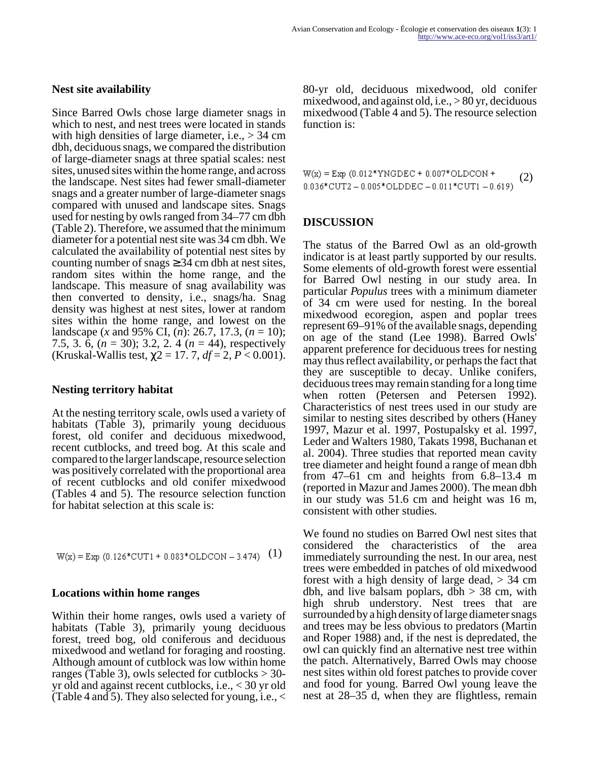#### **Nest site availability**

Since Barred Owls chose large diameter snags in which to nest, and nest trees were located in stands with high densities of large diameter, i.e.,  $> 34$  cm dbh, deciduous snags, we compared the distribution of large-diameter snags at three spatial scales: nest sites, unused sites within the home range, and across the landscape. Nest sites had fewer small-diameter snags and a greater number of large-diameter snags compared with unused and landscape sites. Snags used for nesting by owls ranged from 34–77 cm dbh (Table 2). Therefore, we assumed that the minimum diameter for a potential nest site was 34 cm dbh. We calculated the availability of potential nest sites by counting number of snags  $\geq 34$  cm dbh at nest sites, random sites within the home range, and the landscape. This measure of snag availability was then converted to density, i.e., snags/ha. Snag density was highest at nest sites, lower at random sites within the home range, and lowest on the landscape (*x* and 95% CI, (*n*): 26.7, 17.3, (*n* = 10); 7.5, 3. 6, (*n* = 30); 3.2, 2. 4 (*n* = 44), respectively (Kruskal-Wallis test,  $\chi$ 2 = 17. 7, *df* = 2, *P* < 0.001).

#### **Nesting territory habitat**

At the nesting territory scale, owls used a variety of habitats (Table 3), primarily young deciduous forest, old conifer and deciduous mixedwood, recent cutblocks, and treed bog. At this scale and compared to the larger landscape, resource selection was positively correlated with the proportional area of recent cutblocks and old conifer mixedwood (Tables 4 and 5). The resource selection function for habitat selection at this scale is:

$$
W(x) = Exp (0.126*CUT1 + 0.083*OLDCON - 3.474)
$$
 (1)

#### **Locations within home ranges**

Within their home ranges, owls used a variety of habitats (Table 3), primarily young deciduous forest, treed bog, old coniferous and deciduous mixedwood and wetland for foraging and roosting. Although amount of cutblock was low within home ranges (Table 3), owls selected for cutblocks  $>$  30yr old and against recent cutblocks, i.e., < 30 yr old (Table 4 and 5). They also selected for young, i.e., <

80-yr old, deciduous mixedwood, old conifer mixedwood, and against old, i.e., > 80 yr, deciduous mixedwood (Table 4 and 5). The resource selection function is:

 $W(x) = Exp (0.012*YNGDEC + 0.007*OLDCON +$ (2)  $0.036*$ CUT2 -  $0.005*$ OLDDEC -  $0.011*$ CUT1 -  $0.619$ )

#### **DISCUSSION**

The status of the Barred Owl as an old-growth indicator is at least partly supported by our results. Some elements of old-growth forest were essential for Barred Owl nesting in our study area. In particular *Populus* trees with a minimum diameter of 34 cm were used for nesting. In the boreal mixedwood ecoregion, aspen and poplar trees represent 69–91% of the available snags, depending on age of the stand (Lee 1998). Barred Owls' apparent preference for deciduous trees for nesting may thus reflect availability, or perhaps the fact that they are susceptible to decay. Unlike conifers, deciduous trees may remain standing for a long time when rotten (Petersen and Petersen 1992). Characteristics of nest trees used in our study are similar to nesting sites described by others (Haney 1997, Mazur et al. 1997, Postupalsky et al. 1997, Leder and Walters 1980, Takats 1998, Buchanan et al. 2004). Three studies that reported mean cavity tree diameter and height found a range of mean dbh from 47–61 cm and heights from 6.8–13.4 m (reported in Mazur and James 2000). The mean dbh in our study was 51.6 cm and height was 16 m, consistent with other studies.

We found no studies on Barred Owl nest sites that considered the characteristics of the area immediately surrounding the nest. In our area, nest trees were embedded in patches of old mixedwood forest with a high density of large dead,  $> 34$  cm dbh, and live balsam poplars, dbh  $>$  38 cm, with high shrub understory. Nest trees that are surrounded by a high density of large diameter snags and trees may be less obvious to predators (Martin and Roper 1988) and, if the nest is depredated, the owl can quickly find an alternative nest tree within the patch. Alternatively, Barred Owls may choose nest sites within old forest patches to provide cover and food for young. Barred Owl young leave the nest at 28–35 d, when they are flightless, remain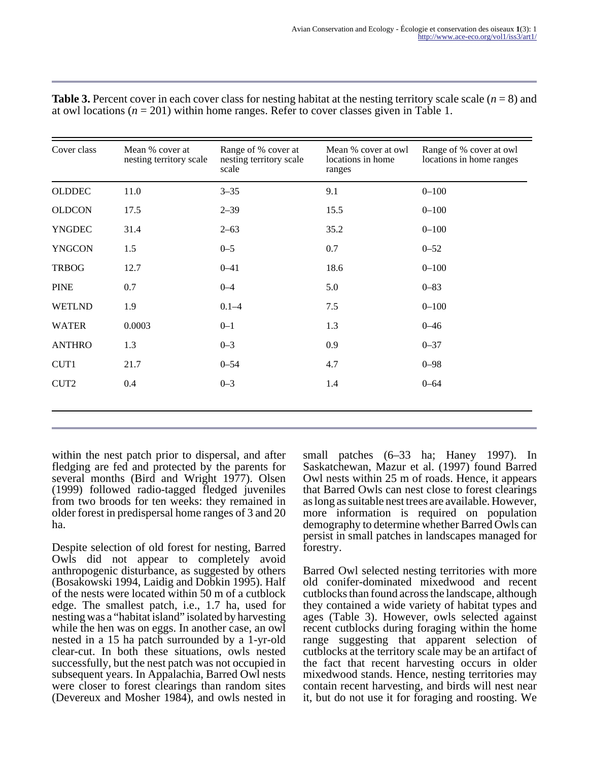| Cover class      | Mean % cover at<br>nesting territory scale | Range of % cover at<br>nesting territory scale<br>scale | Mean % cover at owl<br>locations in home<br>ranges | Range of % cover at owl<br>locations in home ranges |
|------------------|--------------------------------------------|---------------------------------------------------------|----------------------------------------------------|-----------------------------------------------------|
| <b>OLDDEC</b>    | 11.0                                       | $3 - 35$                                                | 9.1                                                | $0 - 100$                                           |
| <b>OLDCON</b>    | 17.5                                       | $2 - 39$                                                | 15.5                                               | $0 - 100$                                           |
| <b>YNGDEC</b>    | 31.4                                       | $2 - 63$                                                | 35.2                                               | $0 - 100$                                           |
| <b>YNGCON</b>    | 1.5                                        | $0 - 5$                                                 | 0.7                                                | $0 - 52$                                            |
| <b>TRBOG</b>     | 12.7                                       | $0 - 41$                                                | 18.6                                               | $0 - 100$                                           |
| <b>PINE</b>      | 0.7                                        | $0 - 4$                                                 | 5.0                                                | $0 - 83$                                            |
| <b>WETLND</b>    | 1.9                                        | $0.1 - 4$                                               | 7.5                                                | $0 - 100$                                           |
| <b>WATER</b>     | 0.0003                                     | $0 - 1$                                                 | 1.3                                                | $0 - 46$                                            |
| <b>ANTHRO</b>    | 1.3                                        | $0 - 3$                                                 | 0.9                                                | $0 - 37$                                            |
| CUT1             | 21.7                                       | $0 - 54$                                                | 4.7                                                | $0 - 98$                                            |
| CUT <sub>2</sub> | 0.4                                        | $0 - 3$                                                 | 1.4                                                | $0 - 64$                                            |
|                  |                                            |                                                         |                                                    |                                                     |

**Table 3.** Percent cover in each cover class for nesting habitat at the nesting territory scale scale (*n* = 8) and at owl locations  $(n = 201)$  within home ranges. Refer to cover classes given in Table 1.

within the nest patch prior to dispersal, and after fledging are fed and protected by the parents for several months (Bird and Wright 1977). Olsen (1999) followed radio-tagged fledged juveniles from two broods for ten weeks: they remained in older forest in predispersal home ranges of 3 and 20 ha.

Despite selection of old forest for nesting, Barred Owls did not appear to completely avoid anthropogenic disturbance, as suggested by others (Bosakowski 1994, Laidig and Dobkin 1995). Half of the nests were located within 50 m of a cutblock edge. The smallest patch, i.e., 1.7 ha, used for nesting was a "habitat island" isolated by harvesting while the hen was on eggs. In another case, an owl nested in a 15 ha patch surrounded by a 1-yr-old clear-cut. In both these situations, owls nested successfully, but the nest patch was not occupied in subsequent years. In Appalachia, Barred Owl nests were closer to forest clearings than random sites (Devereux and Mosher 1984), and owls nested in

small patches (6–33 ha; Haney 1997). In Saskatchewan, Mazur et al. (1997) found Barred Owl nests within 25 m of roads. Hence, it appears that Barred Owls can nest close to forest clearings as long as suitable nest trees are available. However, more information is required on population demography to determine whether Barred Owls can persist in small patches in landscapes managed for forestry.

Barred Owl selected nesting territories with more old conifer-dominated mixedwood and recent cutblocks than found across the landscape, although they contained a wide variety of habitat types and ages (Table 3). However, owls selected against recent cutblocks during foraging within the home range suggesting that apparent selection of cutblocks at the territory scale may be an artifact of the fact that recent harvesting occurs in older mixedwood stands. Hence, nesting territories may contain recent harvesting, and birds will nest near it, but do not use it for foraging and roosting. We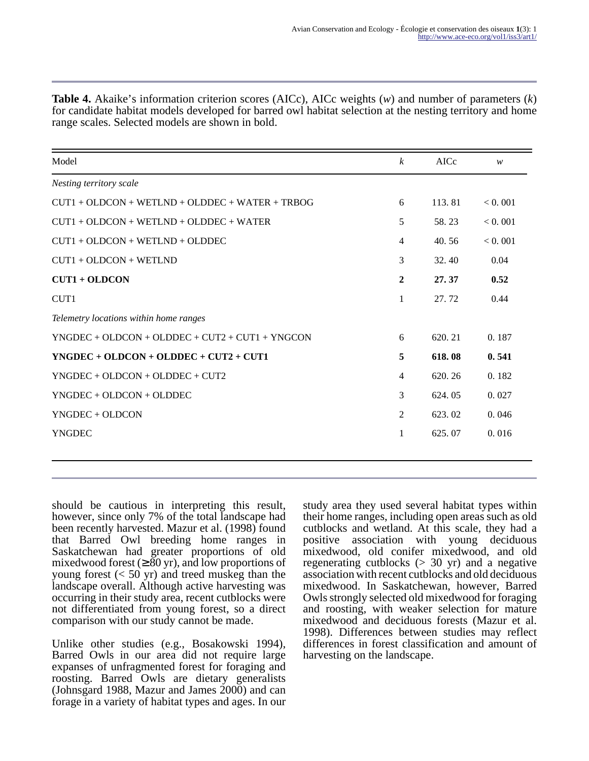| Model                                             | $\boldsymbol{k}$ | AICc   | W       |
|---------------------------------------------------|------------------|--------|---------|
| Nesting territory scale                           |                  |        |         |
| $CUT1 + OLDCON + WETLND + OLDDEC + WATER + TRBOG$ | 6                | 113.81 | < 0.001 |
| $CUT1 + OLDCON + WETLND + OLDDEC + WATER$         | 5                | 58.23  | < 0.001 |
| $CUT1 + OLDCON + WETLND + OLDDEC$                 | $\overline{4}$   | 40.56  | < 0.001 |
| $CUT1 + OLDCON + WETLND$                          | 3                | 32.40  | 0.04    |
| $CUT1 + OLDCON$                                   | $\boldsymbol{2}$ | 27.37  | 0.52    |
| CUT1                                              | $\mathbf{1}$     | 27.72  | 0.44    |
| Telemetry locations within home ranges            |                  |        |         |
| $YNGDEC + OLDCON + OLDDEC + CUT2 + CUT1 + YNGCON$ | 6                | 620.21 | 0.187   |
| $YNGDEC + OLDCON + OLDDEC + CUT2 + CUT1$          | 5                | 618.08 | 0.541   |
| $YNGDEC + OLDCON + OLDDEC + CUT2$                 | $\overline{4}$   | 620.26 | 0.182   |
| $YNGDEC + OLDCON + OLDDEC$                        | 3                | 624.05 | 0.027   |
| YNGDEC + OLDCON                                   | 2                | 623.02 | 0.046   |
| <b>YNGDEC</b>                                     | 1                | 625.07 | 0.016   |
|                                                   |                  |        |         |

**Table 4.** Akaike's information criterion scores (AICc), AICc weights (*w*) and number of parameters (*k*) for candidate habitat models developed for barred owl habitat selection at the nesting territory and home range scales. Selected models are shown in bold.

should be cautious in interpreting this result, however, since only 7% of the total landscape had been recently harvested. Mazur et al. (1998) found that Barred Owl breeding home ranges in Saskatchewan had greater proportions of old mixedwood forest  $(≥ 80 \text{ yr})$ , and low proportions of young forest  $( $50 \text{ yr}$ )$  and treed muskeg than the landscape overall. Although active harvesting was occurring in their study area, recent cutblocks were not differentiated from young forest, so a direct comparison with our study cannot be made.

Unlike other studies (e.g., Bosakowski 1994), Barred Owls in our area did not require large expanses of unfragmented forest for foraging and roosting. Barred Owls are dietary generalists (Johnsgard 1988, Mazur and James 2000) and can forage in a variety of habitat types and ages. In our study area they used several habitat types within their home ranges, including open areas such as old cutblocks and wetland. At this scale, they had a positive association with young deciduous mixedwood, old conifer mixedwood, and old regenerating cutblocks  $(> 30 \text{ yr})$  and a negative association with recent cutblocks and old deciduous mixedwood. In Saskatchewan, however, Barred Owls strongly selected old mixedwood for foraging and roosting, with weaker selection for mature mixedwood and deciduous forests (Mazur et al. 1998). Differences between studies may reflect differences in forest classification and amount of harvesting on the landscape.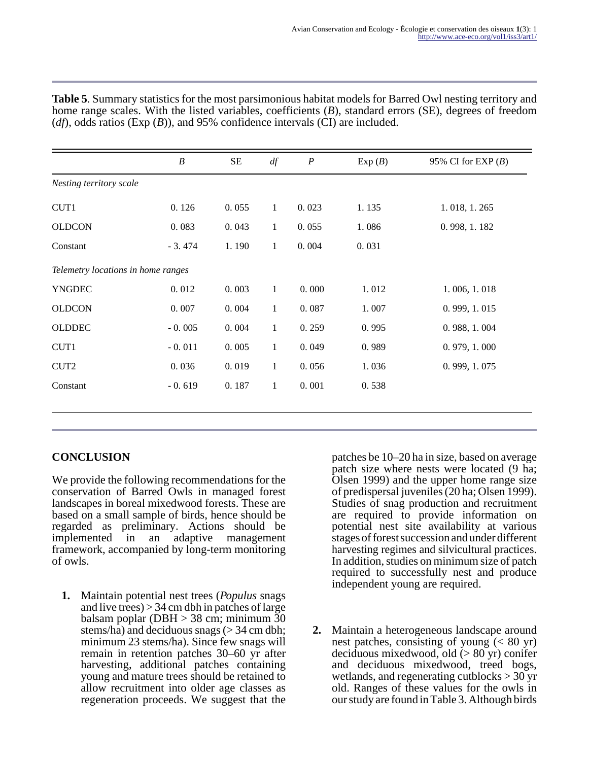|                                    | $\boldsymbol{B}$ | $\rm SE$ | df           | $\boldsymbol{P}$ | Exp(B) | 95% CI for EXP $(B)$ |
|------------------------------------|------------------|----------|--------------|------------------|--------|----------------------|
| Nesting territory scale            |                  |          |              |                  |        |                      |
| CUT1                               | 0.126            | 0.055    | 1            | 0.023            | 1.135  | 1.018, 1.265         |
| <b>OLDCON</b>                      | 0.083            | 0.043    | 1            | 0.055            | 1.086  | 0.998, 1.182         |
| Constant                           | $-3.474$         | 1.190    | $\mathbf{1}$ | 0.004            | 0.031  |                      |
| Telemetry locations in home ranges |                  |          |              |                  |        |                      |
| <b>YNGDEC</b>                      | 0.012            | 0.003    | $\mathbf{1}$ | 0.000            | 1.012  | 1.006, 1.018         |
| <b>OLDCON</b>                      | 0.007            | 0.004    | $\mathbf{1}$ | 0.087            | 1.007  | 0.999, 1.015         |
| <b>OLDDEC</b>                      | $-0.005$         | 0.004    | $\mathbf{1}$ | 0.259            | 0.995  | 0.988, 1.004         |
| CUT1                               | $-0.011$         | 0.005    | $\mathbf{1}$ | 0.049            | 0.989  | 0.979, 1.000         |
| CUT <sub>2</sub>                   | 0.036            | 0.019    | $\mathbf{1}$ | 0.056            | 1.036  | 0.999, 1.075         |
| Constant                           | $-0.619$         | 0.187    | $\mathbf{1}$ | 0.001            | 0.538  |                      |

**Table 5**. Summary statistics for the most parsimonious habitat models for Barred Owl nesting territory and home range scales. With the listed variables, coefficients (*B*), standard errors (SE), degrees of freedom (*df*), odds ratios (Exp (*B*)), and 95% confidence intervals (CI) are included.

# **CONCLUSION**

We provide the following recommendations for the conservation of Barred Owls in managed forest landscapes in boreal mixedwood forests. These are based on a small sample of birds, hence should be regarded as preliminary. Actions should be implemented in an adaptive management framework, accompanied by long-term monitoring of owls.

**1.** Maintain potential nest trees (*Populus* snags and live trees)  $> 34$  cm dbh in patches of large balsam poplar (DBH > 38 cm; minimum 30 stems/ha) and deciduous snags ( $>$  34 cm dbh; minimum 23 stems/ha). Since few snags will remain in retention patches 30–60 yr after harvesting, additional patches containing young and mature trees should be retained to allow recruitment into older age classes as regeneration proceeds. We suggest that the

patches be 10–20 ha in size, based on average patch size where nests were located (9 ha; Olsen 1999) and the upper home range size of predispersal juveniles (20 ha; Olsen 1999). Studies of snag production and recruitment are required to provide information on potential nest site availability at various stages of forest succession and under different harvesting regimes and silvicultural practices. In addition, studies on minimum size of patch required to successfully nest and produce independent young are required.

**2.** Maintain a heterogeneous landscape around nest patches, consisting of young  $(< 80$  yr) deciduous mixedwood, old (> 80 yr) conifer and deciduous mixedwood, treed bogs, wetlands, and regenerating cutblocks > 30 yr old. Ranges of these values for the owls in our study are found in Table 3. Although birds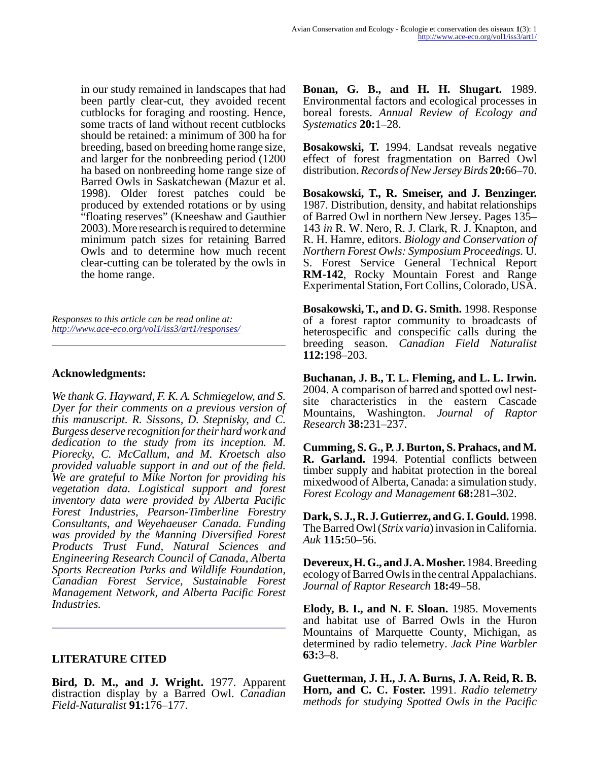in our study remained in landscapes that had been partly clear-cut, they avoided recent cutblocks for foraging and roosting. Hence, some tracts of land without recent cutblocks should be retained: a minimum of 300 ha for breeding, based on breeding home range size, and larger for the nonbreeding period (1200 ha based on nonbreeding home range size of Barred Owls in Saskatchewan (Mazur et al. 1998). Older forest patches could be produced by extended rotations or by using "floating reserves" (Kneeshaw and Gauthier 2003). More research is required to determine minimum patch sizes for retaining Barred Owls and to determine how much recent clear-cutting can be tolerated by the owls in the home range.

*Responses to this article can be read online at: <http://www.ace-eco.org/vol1/iss3/art1/responses/>*

#### **Acknowledgments:**

*We thank G. Hayward, F. K. A. Schmiegelow, and S. Dyer for their comments on a previous version of this manuscript. R. Sissons, D. Stepnisky, and C. Burgess deserve recognition for their hard work and dedication to the study from its inception. M. Piorecky, C. McCallum, and M. Kroetsch also provided valuable support in and out of the field. We are grateful to Mike Norton for providing his vegetation data. Logistical support and forest inventory data were provided by Alberta Pacific Forest Industries, Pearson-Timberline Forestry Consultants, and Weyehaeuser Canada. Funding was provided by the Manning Diversified Forest Products Trust Fund, Natural Sciences and Engineering Research Council of Canada, Alberta Sports Recreation Parks and Wildlife Foundation, Canadian Forest Service, Sustainable Forest Management Network, and Alberta Pacific Forest Industries.*

#### **LITERATURE CITED**

**Bird, D. M., and J. Wright.** 1977. Apparent distraction display by a Barred Owl. *Canadian Field-Naturalist* **91:**176–177.

**Bonan, G. B., and H. H. Shugart.** 1989. Environmental factors and ecological processes in boreal forests. *Annual Review of Ecology and Systematics* **20:**1–28.

**Bosakowski, T.** 1994. Landsat reveals negative effect of forest fragmentation on Barred Owl distribution. *Records of New Jersey Birds* **20:**66–70.

**Bosakowski, T., R. Smeiser, and J. Benzinger.** 1987. Distribution, density, and habitat relationships of Barred Owl in northern New Jersey. Pages 135– 143 *in* R. W. Nero, R. J. Clark, R. J. Knapton, and R. H. Hamre, editors. *Biology and Conservation of Northern Forest Owls: Symposium Proceedings.* U. S. Forest Service General Technical Report **RM-142**, Rocky Mountain Forest and Range Experimental Station, Fort Collins, Colorado, USA.

**Bosakowski, T., and D. G. Smith.** 1998. Response of a forest raptor community to broadcasts of heterospecific and conspecific calls during the breeding season. *Canadian Field Naturalist* **112:**198–203.

**Buchanan, J. B., T. L. Fleming, and L. L. Irwin.** 2004. A comparison of barred and spotted owl nestsite characteristics in the eastern Cascade Mountains, Washington. *Journal of Raptor Research* **38:**231–237.

**Cumming, S. G., P. J. Burton, S. Prahacs, and M. R. Garland.** 1994. Potential conflicts between timber supply and habitat protection in the boreal mixedwood of Alberta, Canada: a simulation study. *Forest Ecology and Management* **68:**281–302.

**Dark, S. J., R. J. Gutierrez, and G. I. Gould.** 1998. The Barred Owl (*Strix varia*) invasion in California. *Auk* **115:**50–56.

**Devereux, H. G., and J. A. Mosher.** 1984. Breeding ecology of Barred Owls in the central Appalachians. *Journal of Raptor Research* **18:**49–58.

**Elody, B. I., and N. F. Sloan.** 1985. Movements and habitat use of Barred Owls in the Huron Mountains of Marquette County, Michigan, as determined by radio telemetry. *Jack Pine Warbler* **63:**3–8.

**Guetterman, J. H., J. A. Burns, J. A. Reid, R. B. Horn, and C. C. Foster.** 1991. *Radio telemetry methods for studying Spotted Owls in the Pacific*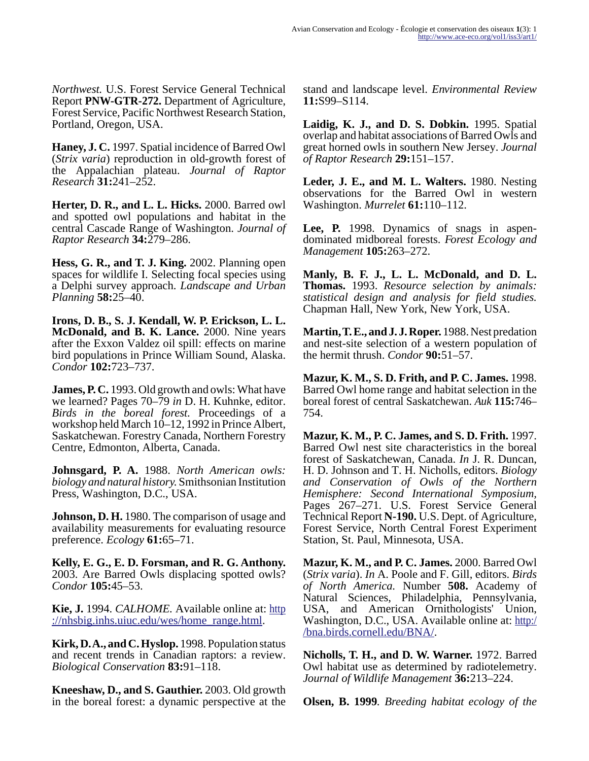*Northwest.* U.S. Forest Service General Technical Report **PNW-GTR-272.** Department of Agriculture, Forest Service, Pacific Northwest Research Station, Portland, Oregon, USA.

**Haney, J. C.** 1997. Spatial incidence of Barred Owl (*Strix varia*) reproduction in old-growth forest of the Appalachian plateau. *Journal of Raptor Research* **31:**241–252.

**Herter, D. R., and L. L. Hicks.** 2000. Barred owl and spotted owl populations and habitat in the central Cascade Range of Washington. *Journal of Raptor Research* **34:**279–286.

**Hess, G. R., and T. J. King.** 2002. Planning open spaces for wildlife I. Selecting focal species using a Delphi survey approach. *Landscape and Urban Planning* **58:**25–40.

**Irons, D. B., S. J. Kendall, W. P. Erickson, L. L. McDonald, and B. K. Lance.** 2000. Nine years after the Exxon Valdez oil spill: effects on marine bird populations in Prince William Sound, Alaska. *Condor* **102:**723–737.

**James, P. C.** 1993. Old growth and owls: What have we learned? Pages 70–79 *in* D. H. Kuhnke, editor. *Birds in the boreal forest.* Proceedings of a workshop held March 10–12, 1992 in Prince Albert, Saskatchewan. Forestry Canada, Northern Forestry Centre, Edmonton, Alberta, Canada.

**Johnsgard, P. A.** 1988. *North American owls: biology and natural history.* Smithsonian Institution Press, Washington, D.C., USA.

**Johnson, D. H.** 1980. The comparison of usage and availability measurements for evaluating resource preference. *Ecology* **61:**65–71.

**Kelly, E. G., E. D. Forsman, and R. G. Anthony.** 2003. Are Barred Owls displacing spotted owls? *Condor* **105:**45–53.

**Kie, J.** 1994. *CALHOME.* Available online at: [http](http://nhsbig.inhs.uiuc.edu/wes/home_range.html) [://nhsbig.inhs.uiuc.edu/wes/home\\_range.html.](http://nhsbig.inhs.uiuc.edu/wes/home_range.html)

**Kirk, D. A., and C. Hyslop.** 1998. Population status and recent trends in Canadian raptors: a review. *Biological Conservation* **83:**91–118.

**Kneeshaw, D., and S. Gauthier.** 2003. Old growth in the boreal forest: a dynamic perspective at the stand and landscape level. *Environmental Review* **11:**S99–S114.

**Laidig, K. J., and D. S. Dobkin.** 1995. Spatial overlap and habitat associations of Barred Owls and great horned owls in southern New Jersey. *Journal of Raptor Research* **29:**151–157.

**Leder, J. E., and M. L. Walters.** 1980. Nesting observations for the Barred Owl in western Washington. *Murrelet* **61:**110–112.

**Lee, P.** 1998. Dynamics of snags in aspendominated midboreal forests. *Forest Ecology and Management* **105:**263–272.

**Manly, B. F. J., L. L. McDonald, and D. L. Thomas.** 1993. *Resource selection by animals: statistical design and analysis for field studies.* Chapman Hall, New York, New York, USA.

**Martin, T. E., and J. J. Roper.** 1988. Nest predation and nest-site selection of a western population of the hermit thrush. *Condor* **90:**51–57.

**Mazur, K. M., S. D. Frith, and P. C. James.** 1998. Barred Owl home range and habitat selection in the boreal forest of central Saskatchewan. *Auk* **115:**746– 754.

**Mazur, K. M., P. C. James, and S. D. Frith.** 1997. Barred Owl nest site characteristics in the boreal forest of Saskatchewan, Canada. *In* J. R. Duncan, H. D. Johnson and T. H. Nicholls, editors. *Biology and Conservation of Owls of the Northern Hemisphere: Second International Symposium,* Pages 267–271*.* U.S. Forest Service General Technical Report **N-190.** U.S. Dept. of Agriculture, Forest Service, North Central Forest Experiment Station, St. Paul, Minnesota, USA.

**Mazur, K. M., and P. C. James.** 2000. Barred Owl (*Strix varia*). *In* A. Poole and F. Gill, editors. *Birds of North America.* Number **508.** Academy of Natural Sciences, Philadelphia, Pennsylvania, USA, and American Ornithologists' Union, Washington, D.C., USA. Available online at: [http:/](http://bna.birds.cornell.edu/BNA/) [/bna.birds.cornell.edu/BNA/](http://bna.birds.cornell.edu/BNA/).

**Nicholls, T. H., and D. W. Warner.** 1972. Barred Owl habitat use as determined by radiotelemetry. *Journal of Wildlife Management* **36:**213–224.

**Olsen, B. 1999***. Breeding habitat ecology of the*